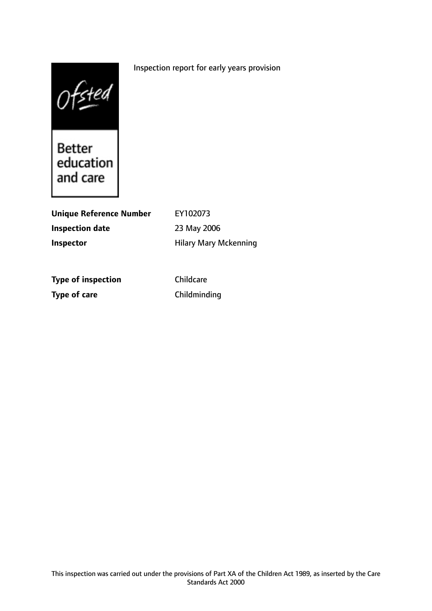# Inspection report for early years provision

 $0$  fsted<br>Better<br>education

and care

| <b>Unique Reference Number</b> | EY102073                     |
|--------------------------------|------------------------------|
| Inspection date                | 23 May 2006                  |
| Inspector                      | <b>Hilary Mary Mckenning</b> |
|                                |                              |
|                                |                              |
| <b>Type of inspection</b>      | Childcare                    |
| Type of care                   | Childminding                 |

This inspection was carried out under the provisions of Part XA of the Children Act 1989, as inserted by the Care Standards Act 2000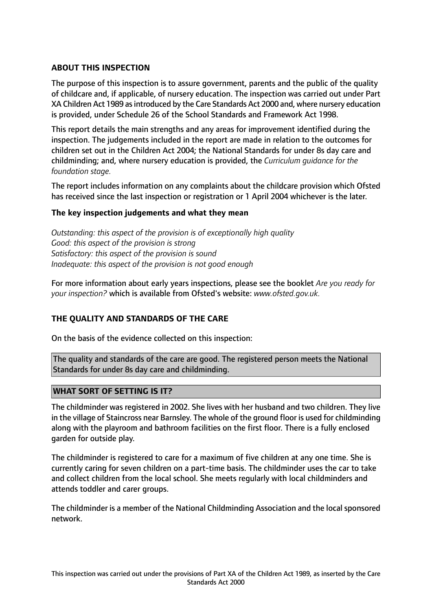# **ABOUT THIS INSPECTION**

The purpose of this inspection is to assure government, parents and the public of the quality of childcare and, if applicable, of nursery education. The inspection was carried out under Part XA Children Act 1989 asintroduced by the Care Standards Act 2000 and, where nursery education is provided, under Schedule 26 of the School Standards and Framework Act 1998.

This report details the main strengths and any areas for improvement identified during the inspection. The judgements included in the report are made in relation to the outcomes for children set out in the Children Act 2004; the National Standards for under 8s day care and childminding; and, where nursery education is provided, the *Curriculum guidance for the foundation stage.*

The report includes information on any complaints about the childcare provision which Ofsted has received since the last inspection or registration or 1 April 2004 whichever is the later.

## **The key inspection judgements and what they mean**

*Outstanding: this aspect of the provision is of exceptionally high quality Good: this aspect of the provision is strong Satisfactory: this aspect of the provision is sound Inadequate: this aspect of the provision is not good enough*

For more information about early years inspections, please see the booklet *Are you ready for your inspection?* which is available from Ofsted's website: *www.ofsted.gov.uk.*

## **THE QUALITY AND STANDARDS OF THE CARE**

On the basis of the evidence collected on this inspection:

The quality and standards of the care are good. The registered person meets the National Standards for under 8s day care and childminding.

## **WHAT SORT OF SETTING IS IT?**

The childminder was registered in 2002. She lives with her husband and two children. They live in the village of Staincross near Barnsley. The whole of the ground floor is used for childminding along with the playroom and bathroom facilities on the first floor. There is a fully enclosed garden for outside play.

The childminder is registered to care for a maximum of five children at any one time. She is currently caring for seven children on a part-time basis. The childminder uses the car to take and collect children from the local school. She meets regularly with local childminders and attends toddler and carer groups.

The childminder is a member of the National Childminding Association and the local sponsored network.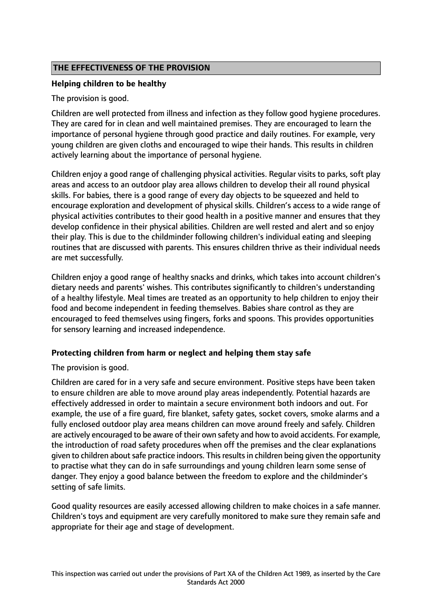# **THE EFFECTIVENESS OF THE PROVISION**

## **Helping children to be healthy**

The provision is good.

Children are well protected from illness and infection as they follow good hygiene procedures. They are cared for in clean and well maintained premises. They are encouraged to learn the importance of personal hygiene through good practice and daily routines. For example, very young children are given cloths and encouraged to wipe their hands. This results in children actively learning about the importance of personal hygiene.

Children enjoy a good range of challenging physical activities. Regular visits to parks, soft play areas and access to an outdoor play area allows children to develop their all round physical skills. For babies, there is a good range of every day objects to be squeezed and held to encourage exploration and development of physical skills. Children's access to a wide range of physical activities contributes to their good health in a positive manner and ensures that they develop confidence in their physical abilities. Children are well rested and alert and so enjoy their play. This is due to the childminder following children's individual eating and sleeping routines that are discussed with parents. This ensures children thrive as their individual needs are met successfully.

Children enjoy a good range of healthy snacks and drinks, which takes into account children's dietary needs and parents' wishes. This contributes significantly to children's understanding of a healthy lifestyle. Meal times are treated as an opportunity to help children to enjoy their food and become independent in feeding themselves. Babies share control as they are encouraged to feed themselves using fingers, forks and spoons. This provides opportunities for sensory learning and increased independence.

## **Protecting children from harm or neglect and helping them stay safe**

The provision is good.

Children are cared for in a very safe and secure environment. Positive steps have been taken to ensure children are able to move around play areas independently. Potential hazards are effectively addressed in order to maintain a secure environment both indoors and out. For example, the use of a fire guard, fire blanket, safety gates, socket covers, smoke alarms and a fully enclosed outdoor play area means children can move around freely and safely. Children are actively encouraged to be aware of their own safety and how to avoid accidents. For example, the introduction of road safety procedures when off the premises and the clear explanations given to children about safe practice indoors. This results in children being given the opportunity to practise what they can do in safe surroundings and young children learn some sense of danger. They enjoy a good balance between the freedom to explore and the childminder's setting of safe limits.

Good quality resources are easily accessed allowing children to make choices in a safe manner. Children's toys and equipment are very carefully monitored to make sure they remain safe and appropriate for their age and stage of development.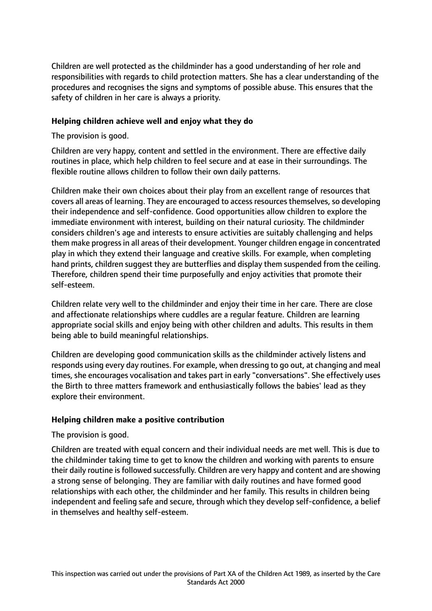Children are well protected as the childminder has a good understanding of her role and responsibilities with regards to child protection matters. She has a clear understanding of the procedures and recognises the signs and symptoms of possible abuse. This ensures that the safety of children in her care is always a priority.

### **Helping children achieve well and enjoy what they do**

The provision is good.

Children are very happy, content and settled in the environment. There are effective daily routines in place, which help children to feel secure and at ease in their surroundings. The flexible routine allows children to follow their own daily patterns.

Children make their own choices about their play from an excellent range of resources that covers all areas of learning. They are encouraged to access resources themselves, so developing their independence and self-confidence. Good opportunities allow children to explore the immediate environment with interest, building on their natural curiosity. The childminder considers children's age and interests to ensure activities are suitably challenging and helps them make progressin all areas of their development. Younger children engage in concentrated play in which they extend their language and creative skills. For example, when completing hand prints, children suggest they are butterflies and display them suspended from the ceiling. Therefore, children spend their time purposefully and enjoy activities that promote their self-esteem.

Children relate very well to the childminder and enjoy their time in her care. There are close and affectionate relationships where cuddles are a regular feature. Children are learning appropriate social skills and enjoy being with other children and adults. This results in them being able to build meaningful relationships.

Children are developing good communication skills as the childminder actively listens and responds using every day routines. For example, when dressing to go out, at changing and meal times, she encourages vocalisation and takes part in early "conversations". She effectively uses the Birth to three matters framework and enthusiastically follows the babies' lead as they explore their environment.

## **Helping children make a positive contribution**

The provision is good.

Children are treated with equal concern and their individual needs are met well. This is due to the childminder taking time to get to know the children and working with parents to ensure their daily routine is followed successfully. Children are very happy and content and are showing a strong sense of belonging. They are familiar with daily routines and have formed good relationships with each other, the childminder and her family. This results in children being independent and feeling safe and secure, through which they develop self-confidence, a belief in themselves and healthy self-esteem.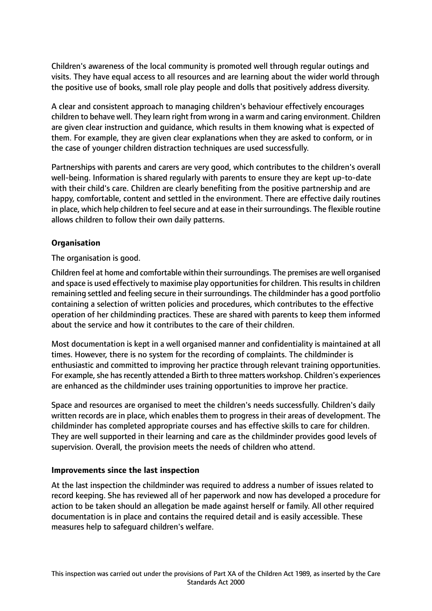Children's awareness of the local community is promoted well through regular outings and visits. They have equal access to all resources and are learning about the wider world through the positive use of books, small role play people and dolls that positively address diversity.

A clear and consistent approach to managing children's behaviour effectively encourages children to behave well. They learn right from wrong in a warm and caring environment. Children are given clear instruction and guidance, which results in them knowing what is expected of them. For example, they are given clear explanations when they are asked to conform, or in the case of younger children distraction techniques are used successfully.

Partnerships with parents and carers are very good, which contributes to the children's overall well-being. Information is shared regularly with parents to ensure they are kept up-to-date with their child's care. Children are clearly benefiting from the positive partnership and are happy, comfortable, content and settled in the environment. There are effective daily routines in place, which help children to feel secure and at ease in their surroundings. The flexible routine allows children to follow their own daily patterns.

# **Organisation**

The organisation is good.

Children feel at home and comfortable within their surroundings. The premises are well organised and space is used effectively to maximise play opportunities for children. This results in children remaining settled and feeling secure in their surroundings. The childminder has a good portfolio containing a selection of written policies and procedures, which contributes to the effective operation of her childminding practices. These are shared with parents to keep them informed about the service and how it contributes to the care of their children.

Most documentation is kept in a well organised manner and confidentiality is maintained at all times. However, there is no system for the recording of complaints. The childminder is enthusiastic and committed to improving her practice through relevant training opportunities. For example, she has recently attended a Birth to three matters workshop. Children's experiences are enhanced as the childminder uses training opportunities to improve her practice.

Space and resources are organised to meet the children's needs successfully. Children's daily written records are in place, which enables them to progress in their areas of development. The childminder has completed appropriate courses and has effective skills to care for children. They are well supported in their learning and care as the childminder provides good levels of supervision. Overall, the provision meets the needs of children who attend.

## **Improvements since the last inspection**

At the last inspection the childminder was required to address a number of issues related to record keeping. She has reviewed all of her paperwork and now has developed a procedure for action to be taken should an allegation be made against herself or family. All other required documentation is in place and contains the required detail and is easily accessible. These measures help to safeguard children's welfare.